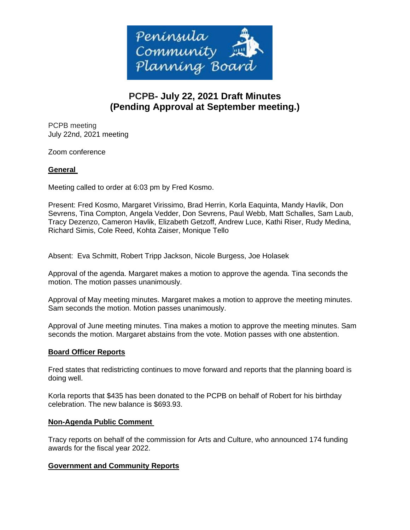

# **PCPB- July 22, 2021 Draft Minutes (Pending Approval at September meeting.)**

PCPB meeting July 22nd, 2021 meeting

Zoom conference

# **General**

Meeting called to order at 6:03 pm by Fred Kosmo.

Present: Fred Kosmo, Margaret Virissimo, Brad Herrin, Korla Eaquinta, Mandy Havlik, Don Sevrens, Tina Compton, Angela Vedder, Don Sevrens, Paul Webb, Matt Schalles, Sam Laub, Tracy Dezenzo, Cameron Havlik, Elizabeth Getzoff, Andrew Luce, Kathi Riser, Rudy Medina, Richard Simis, Cole Reed, Kohta Zaiser, Monique Tello

Absent: Eva Schmitt, Robert Tripp Jackson, Nicole Burgess, Joe Holasek

Approval of the agenda. Margaret makes a motion to approve the agenda. Tina seconds the motion. The motion passes unanimously.

Approval of May meeting minutes. Margaret makes a motion to approve the meeting minutes. Sam seconds the motion. Motion passes unanimously.

Approval of June meeting minutes. Tina makes a motion to approve the meeting minutes. Sam seconds the motion. Margaret abstains from the vote. Motion passes with one abstention.

# **Board Officer Reports**

Fred states that redistricting continues to move forward and reports that the planning board is doing well.

Korla reports that \$435 has been donated to the PCPB on behalf of Robert for his birthday celebration. The new balance is \$693.93.

#### **Non-Agenda Public Comment**

Tracy reports on behalf of the commission for Arts and Culture, who announced 174 funding awards for the fiscal year 2022.

# **Government and Community Reports**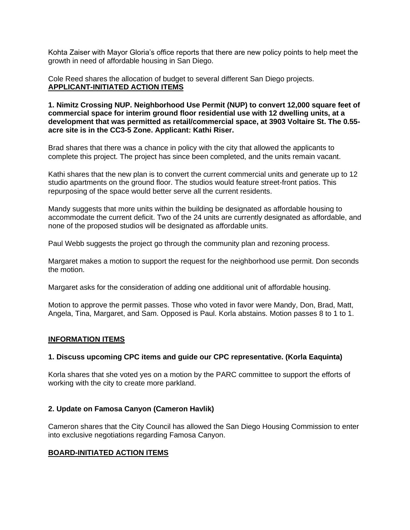Kohta Zaiser with Mayor Gloria's office reports that there are new policy points to help meet the growth in need of affordable housing in San Diego.

Cole Reed shares the allocation of budget to several different San Diego projects. **APPLICANT-INITIATED ACTION ITEMS**

**1. Nimitz Crossing NUP. Neighborhood Use Permit (NUP) to convert 12,000 square feet of commercial space for interim ground floor residential use with 12 dwelling units, at a development that was permitted as retail/commercial space, at 3903 Voltaire St. The 0.55 acre site is in the CC3-5 Zone. Applicant: Kathi Riser.**

Brad shares that there was a chance in policy with the city that allowed the applicants to complete this project. The project has since been completed, and the units remain vacant.

Kathi shares that the new plan is to convert the current commercial units and generate up to 12 studio apartments on the ground floor. The studios would feature street-front patios. This repurposing of the space would better serve all the current residents.

Mandy suggests that more units within the building be designated as affordable housing to accommodate the current deficit. Two of the 24 units are currently designated as affordable, and none of the proposed studios will be designated as affordable units.

Paul Webb suggests the project go through the community plan and rezoning process.

Margaret makes a motion to support the request for the neighborhood use permit. Don seconds the motion.

Margaret asks for the consideration of adding one additional unit of affordable housing.

Motion to approve the permit passes. Those who voted in favor were Mandy, Don, Brad, Matt, Angela, Tina, Margaret, and Sam. Opposed is Paul. Korla abstains. Motion passes 8 to 1 to 1.

# **INFORMATION ITEMS**

#### **1. Discuss upcoming CPC items and guide our CPC representative. (Korla Eaquinta)**

Korla shares that she voted yes on a motion by the PARC committee to support the efforts of working with the city to create more parkland.

# **2. Update on Famosa Canyon (Cameron Havlik)**

Cameron shares that the City Council has allowed the San Diego Housing Commission to enter into exclusive negotiations regarding Famosa Canyon.

# **BOARD-INITIATED ACTION ITEMS**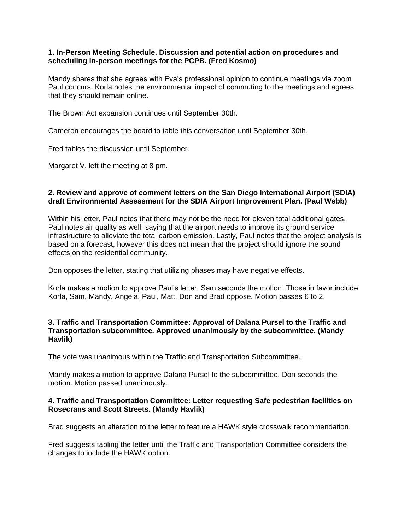## **1. In-Person Meeting Schedule. Discussion and potential action on procedures and scheduling in-person meetings for the PCPB. (Fred Kosmo)**

Mandy shares that she agrees with Eva's professional opinion to continue meetings via zoom. Paul concurs. Korla notes the environmental impact of commuting to the meetings and agrees that they should remain online.

The Brown Act expansion continues until September 30th.

Cameron encourages the board to table this conversation until September 30th.

Fred tables the discussion until September.

Margaret V. left the meeting at 8 pm.

## **2. Review and approve of comment letters on the San Diego International Airport (SDIA) draft Environmental Assessment for the SDIA Airport Improvement Plan. (Paul Webb)**

Within his letter, Paul notes that there may not be the need for eleven total additional gates. Paul notes air quality as well, saying that the airport needs to improve its ground service infrastructure to alleviate the total carbon emission. Lastly, Paul notes that the project analysis is based on a forecast, however this does not mean that the project should ignore the sound effects on the residential community.

Don opposes the letter, stating that utilizing phases may have negative effects.

Korla makes a motion to approve Paul's letter. Sam seconds the motion. Those in favor include Korla, Sam, Mandy, Angela, Paul, Matt. Don and Brad oppose. Motion passes 6 to 2.

## **3. Traffic and Transportation Committee: Approval of Dalana Pursel to the Traffic and Transportation subcommittee. Approved unanimously by the subcommittee. (Mandy Havlik)**

The vote was unanimous within the Traffic and Transportation Subcommittee.

Mandy makes a motion to approve Dalana Pursel to the subcommittee. Don seconds the motion. Motion passed unanimously.

## **4. Traffic and Transportation Committee: Letter requesting Safe pedestrian facilities on Rosecrans and Scott Streets. (Mandy Havlik)**

Brad suggests an alteration to the letter to feature a HAWK style crosswalk recommendation.

Fred suggests tabling the letter until the Traffic and Transportation Committee considers the changes to include the HAWK option.